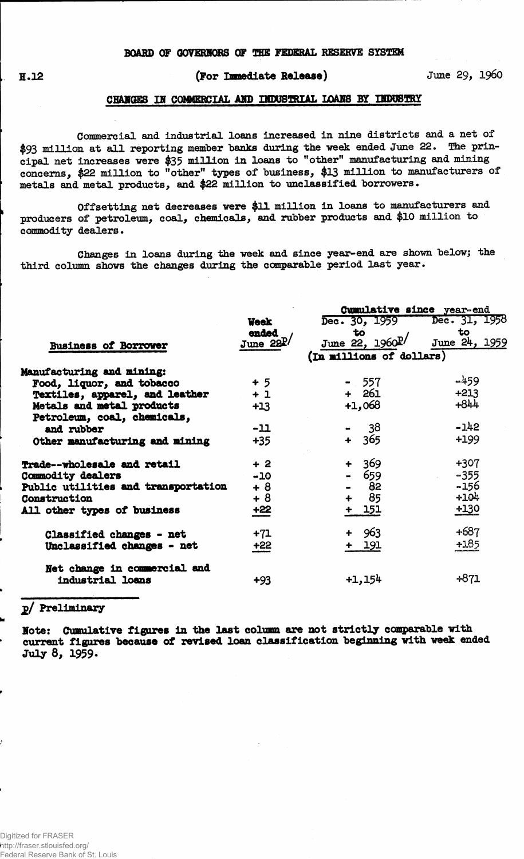# **(For Immediate Release) June 29, i960**

#### **CHABQES IE COMMERCIAL AMD DTOQBIRIAL LOAMS BY IBDOSTRY**

**Commercial and Industrial loans increased in nine districts and a net of \$93 million at all reporting member banks during the week ended June 22. The principal net increases were \$35 million in loans to "other" manufacturing and mining concerns, \$22 million to "other" types of business, \$13 million to manufacturers of metals and metal products, and \$22 million to unclassified borrowers.**

**Offsetting net decreases were \$12. million in loans to manufacturers and producers of petroleum, coal, chemicals, and rubber products and \$10 million to commodity dealers.**

**Changes in loans during the week and since year-end are shown below; the third column shows the changes during the comparable period last year.**

|                                     |             | Cumulative since year-end   |               |  |  |  |  |  |
|-------------------------------------|-------------|-----------------------------|---------------|--|--|--|--|--|
|                                     | <b>Veek</b> | Dec. 30, 1959 Dec. 31, 1958 |               |  |  |  |  |  |
|                                     | ended       | to                          | to            |  |  |  |  |  |
| <b>Business of Borrower</b>         | June $22P/$ | June 22, 1960P/             | June 24, 1959 |  |  |  |  |  |
|                                     |             | (In millions of dollars)    |               |  |  |  |  |  |
| <b>Manufacturing and mining:</b>    |             |                             |               |  |  |  |  |  |
| Food, liquor, and tobacco           | $+5$        | $-557$                      | $-459$        |  |  |  |  |  |
| Textiles, apparel, and leather      | $+1$        | $+ 261$                     | $+213$        |  |  |  |  |  |
| Metals and metal products           | $+13$       | $+1,068$                    | $+844$        |  |  |  |  |  |
| Petroleum, coal, chemicals,         |             |                             |               |  |  |  |  |  |
| and rubber                          | $-11$       | $-38$                       | $-142$        |  |  |  |  |  |
| Other manufacturing and mining      | $+35$       | 365<br>$+$                  | +199          |  |  |  |  |  |
| Trade--wholesale and retail         | $+2$        | + 369                       | $+307$        |  |  |  |  |  |
| Commodity dealers                   | $-10$       | - 659                       | $-355$        |  |  |  |  |  |
| Public utilities and transportation | $+8$        | 82                          | $-156$        |  |  |  |  |  |
| Construction                        | $+8$        | 85<br>$\ddot{\bullet}$      | $+104$        |  |  |  |  |  |
| All other types of business         | $+22$       | + 151                       | $+130$        |  |  |  |  |  |
| Classified changes - net            | $+71$       | $+ 963$                     | $+687$        |  |  |  |  |  |
| Unclassified changes - net          | $+22$       | + 191                       | $+185$        |  |  |  |  |  |
| Net change in commercial and        |             |                             |               |  |  |  |  |  |
| industrial loans                    | +93         | $+1,154$                    | $+871$        |  |  |  |  |  |
|                                     |             |                             |               |  |  |  |  |  |

### **2/ Preliminary**

**Mote: Cumulative figures in the last column are not strictly comparable with current figures because of revised loan classification beginning with week ended July 8, 1959.**